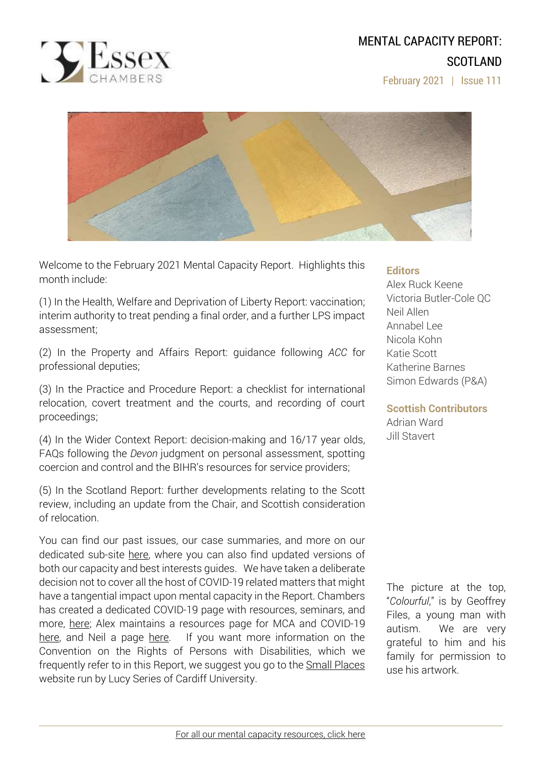# MENTAL CAPACITY REPORT: SCOTLAND

February 2021 | Issue 111



Welcome to the February 2021 Mental Capacity Report. Highlights this month include:

(1) In the Health, Welfare and Deprivation of Liberty Report: vaccination; interim authority to treat pending a final order, and a further LPS impact assessment;

(2) In the Property and Affairs Report: guidance following *ACC* for professional deputies;

(3) In the Practice and Procedure Report: a checklist for international relocation, covert treatment and the courts, and recording of court proceedings;

(4) In the Wider Context Report: decision-making and 16/17 year olds, FAQs following the *Devon* judgment on personal assessment, spotting coercion and control and the BIHR's resources for service providers;

(5) In the Scotland Report: further developments relating to the Scott review, including an update from the Chair, and Scottish consideration of relocation.

You can find our past issues, our case summaries, and more on our dedicated sub-site [here,](http://www.39essex.com/resources-and-training/mental-capacity-law/) where you can also find updated versions of both our capacity and best interests guides. We have taken a deliberate decision not to cover all the host of COVID-19 related matters that might have a tangential impact upon mental capacity in the Report. Chambers has created a dedicated COVID-19 page with resources, seminars, and more, [here;](https://www.39essex.com/covid-19/) Alex maintains a resources page for MCA and COVID-19 [here,](https://www.mentalcapacitylawandpolicy.org.uk/resources-2/covid-19-and-the-mca-2005/) and Neil a page [here.](https://lpslaw.co.uk/Covid/) If you want more information on the Convention on the Rights of Persons with Disabilities, which we frequently refer to in this Report, we suggest you go to the **Small [Places](https://thesmallplaces.wordpress.com/resources-on-legal-capacity-and-the-united-nations-convention-on-the-rights-of-persons-with-disabilities/new-to-the-un-convention-on-the-rights-of-persons-with-disabilities/)** website run by Lucy Series of Cardiff University.

## **Editors**

Alex Ruck Keene Victoria Butler-Cole QC Neil Allen Annabel Lee Nicola Kohn Katie Scott Katherine Barnes Simon Edwards (P&A)

**Scottish Contributors** Adrian Ward Jill Stavert

The picture at the top, "*Colourful*," is by Geoffrey Files, a young man with autism. We are very grateful to him and his family for permission to use his artwork.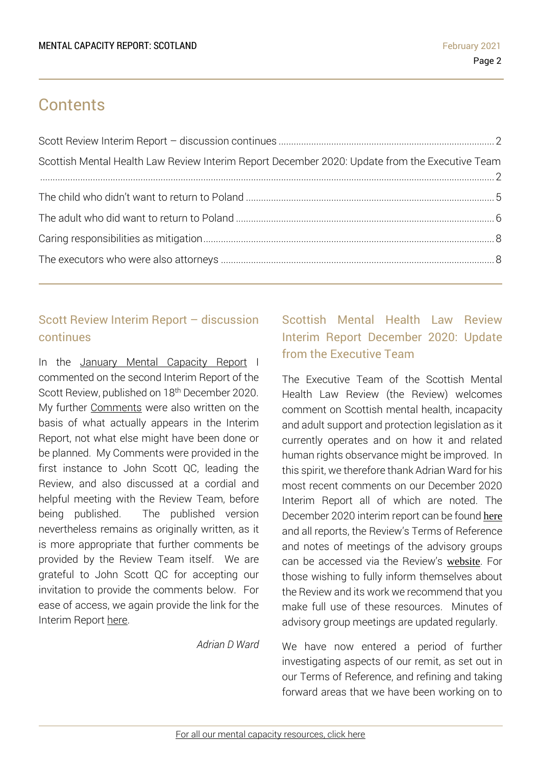# **Contents**

| Scottish Mental Health Law Review Interim Report December 2020: Update from the Executive Team |  |
|------------------------------------------------------------------------------------------------|--|
|                                                                                                |  |
|                                                                                                |  |
|                                                                                                |  |
|                                                                                                |  |
|                                                                                                |  |

## <span id="page-1-0"></span>Scott Review Interim Report – discussion continues

In the January Mental [Capacity](https://www.39essex.com/mental-capacity-report-scotland-january-2021/) Report I commented on the second Interim Report of the Scott Review, published on 18<sup>th</sup> December 2020. My further [Comments](https://www.mentalcapacitylawandpolicy.org.uk/wp-content/uploads/2021/02/Comments-on-December-Interim-Report.pdf) were also written on the basis of what actually appears in the Interim Report, not what else might have been done or be planned. My Comments were provided in the first instance to John Scott QC, leading the Review, and also discussed at a cordial and helpful meeting with the Review Team, before being published. The published version nevertheless remains as originally written, as it is more appropriate that further comments be provided by the Review Team itself. We are grateful to John Scott QC for accepting our invitation to provide the comments below. For ease of access, we again provide the link for the Interim Report [here.](https://www.mentalhealthlawreview.scot/workstreams/scottish-mental-health-law-review-interim-report-december-2020/) 

*Adrian D Ward*

# <span id="page-1-1"></span>Scottish Mental Health Law Review Interim Report December 2020: Update from the Executive Team

The Executive Team of the Scottish Mental Health Law Review (the Review) welcomes comment on Scottish mental health, incapacity and adult support and protection legislation as it currently operates and on how it and related human rights observance might be improved. In this spirit, we therefore thank Adrian Ward for his most recent comments on our December 2020 Interim Report all of which are noted. The December 2020 interim report can be found [here](https://www.mentalhealthlawreview.scot/workstreams/scottish-mental-health-law-review-interim-report-december-2020/) and all reports, the Review's Terms of Reference and notes of meetings of the advisory groups can be accessed via the Review's [website](https://www.mentalhealthlawreview.scot/). For those wishing to fully inform themselves about the Review and its work we recommend that you make full use of these resources. Minutes of advisory group meetings are updated regularly.

We have now entered a period of further investigating aspects of our remit, as set out in our Terms of Reference, and refining and taking forward areas that we have been working on to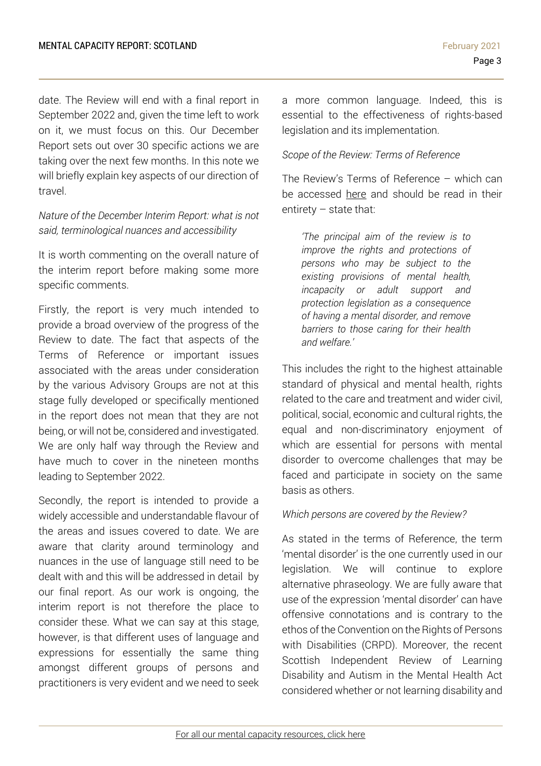date. The Review will end with a final report in September 2022 and, given the time left to work on it, we must focus on this. Our December Report sets out over 30 specific actions we are taking over the next few months. In this note we will briefly explain key aspects of our direction of travel.

## *Nature of the December Interim Report: what is not said, terminological nuances and accessibility*

It is worth commenting on the overall nature of the interim report before making some more specific comments.

Firstly, the report is very much intended to provide a broad overview of the progress of the Review to date. The fact that aspects of the Terms of Reference or important issues associated with the areas under consideration by the various Advisory Groups are not at this stage fully developed or specifically mentioned in the report does not mean that they are not being, or will not be, considered and investigated. We are only half way through the Review and have much to cover in the nineteen months leading to September 2022.

Secondly, the report is intended to provide a widely accessible and understandable flavour of the areas and issues covered to date. We are aware that clarity around terminology and nuances in the use of language still need to be dealt with and this will be addressed in detail by our final report. As our work is ongoing, the interim report is not therefore the place to consider these. What we can say at this stage, however, is that different uses of language and expressions for essentially the same thing amongst different groups of persons and practitioners is very evident and we need to seek a more common language. Indeed, this is essential to the effectiveness of rights-based legislation and its implementation.

### *Scope of the Review: Terms of Reference*

The Review's Terms of Reference – which can be accessed [here](https://cms.mentalhealthlawreview.scot/wp-content/uploads/2020/01/Terms-of-Reference-1.pdf) and should be read in their entirety – state that:

*'The principal aim of the review is to improve the rights and protections of persons who may be subject to the existing provisions of mental health, incapacity or adult support and protection legislation as a consequence of having a mental disorder, and remove barriers to those caring for their health and welfare.'*

This includes the right to the highest attainable standard of physical and mental health, rights related to the care and treatment and wider civil, political, social, economic and cultural rights, the equal and non-discriminatory enjoyment of which are essential for persons with mental disorder to overcome challenges that may be faced and participate in society on the same basis as others.

#### *Which persons are covered by the Review?*

As stated in the terms of Reference, the term 'mental disorder' is the one currently used in our legislation. We will continue to explore alternative phraseology. We are fully aware that use of the expression 'mental disorder' can have offensive connotations and is contrary to the ethos of the Convention on the Rights of Persons with Disabilities (CRPD). Moreover, the recent Scottish Independent Review of Learning Disability and Autism in the Mental Health Act considered whether or not learning disability and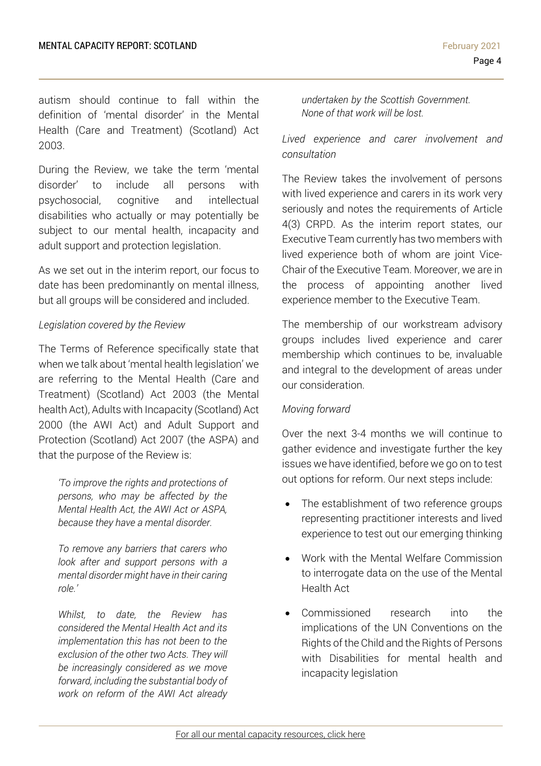autism should continue to fall within the definition of 'mental disorder' in the Mental Health (Care and Treatment) (Scotland) Act 2003.

During the Review, we take the term 'mental disorder' to include all persons with psychosocial, cognitive and intellectual disabilities who actually or may potentially be subject to our mental health, incapacity and adult support and protection legislation.

As we set out in the interim report, our focus to date has been predominantly on mental illness, but all groups will be considered and included.

#### *Legislation covered by the Review*

The Terms of Reference specifically state that when we talk about 'mental health legislation' we are referring to the Mental Health (Care and Treatment) (Scotland) Act 2003 (the Mental health Act), Adults with Incapacity (Scotland) Act 2000 (the AWI Act) and Adult Support and Protection (Scotland) Act 2007 (the ASPA) and that the purpose of the Review is:

*'To improve the rights and protections of persons, who may be affected by the Mental Health Act, the AWI Act or ASPA, because they have a mental disorder.* 

*To remove any barriers that carers who look after and support persons with a mental disorder might have in their caring role.'* 

*Whilst, to date, the Review has considered the Mental Health Act and its implementation this has not been to the exclusion of the other two Acts. They will be increasingly considered as we move forward, including the substantial body of work on reform of the AWI Act already* 

*undertaken by the Scottish Government. None of that work will be lost.*

*Lived experience and carer involvement and consultation* 

The Review takes the involvement of persons with lived experience and carers in its work very seriously and notes the requirements of Article 4(3) CRPD. As the interim report states, our Executive Team currently has two members with lived experience both of whom are joint Vice-Chair of the Executive Team. Moreover, we are in the process of appointing another lived experience member to the Executive Team.

The membership of our workstream advisory groups includes lived experience and carer membership which continues to be, invaluable and integral to the development of areas under our consideration.

#### *Moving forward*

Over the next 3-4 months we will continue to gather evidence and investigate further the key issues we have identified, before we go on to test out options for reform. Our next steps include:

- The establishment of two reference groups representing practitioner interests and lived experience to test out our emerging thinking
- Work with the Mental Welfare Commission to interrogate data on the use of the Mental Health Act
- Commissioned research into the implications of the UN Conventions on the Rights of the Child and the Rights of Persons with Disabilities for mental health and incapacity legislation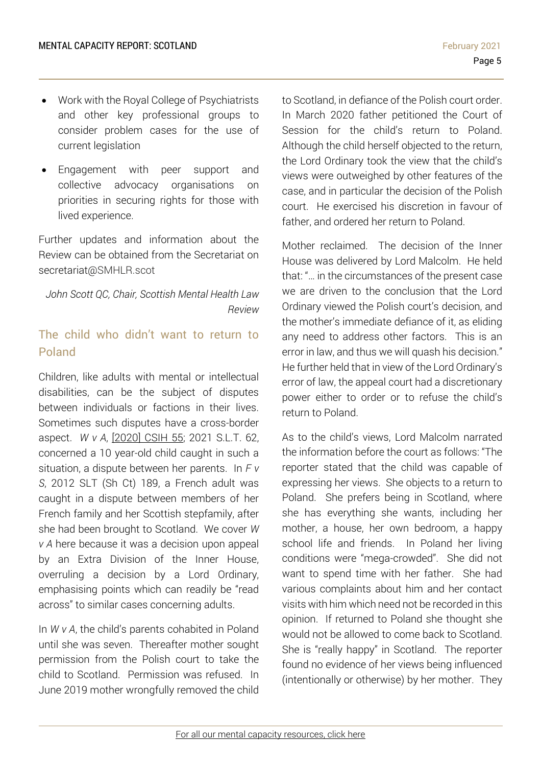- Work with the Royal College of Psychiatrists and other key professional groups to consider problem cases for the use of current legislation
- Engagement with peer support and collective advocacy organisations on priorities in securing rights for those with lived experience.

Further updates and information about the Review can be obtained from the Secretariat on secretariat@SMHLR.scot

*John Scott QC, Chair, Scottish Mental Health Law Review*

## <span id="page-4-0"></span>The child who didn't want to return to Poland

Children, like adults with mental or intellectual disabilities, can be the subject of disputes between individuals or factions in their lives. Sometimes such disputes have a cross-border aspect. *W v A*, [\[2020\]](https://www.scotcourts.gov.uk/docs/default-source/cos-general-docs/pdf-docs-for-opinions/2020csih553f6202a8898069d2b500ff0000d74aa7.pdf?sfvrsn=0) CSIH 55; 2021 S.L.T. 62, concerned a 10 year-old child caught in such a situation, a dispute between her parents. In *F v S*, 2012 SLT (Sh Ct) 189, a French adult was caught in a dispute between members of her French family and her Scottish stepfamily, after she had been brought to Scotland. We cover *W v A* here because it was a decision upon appeal by an Extra Division of the Inner House, overruling a decision by a Lord Ordinary, emphasising points which can readily be "read across" to similar cases concerning adults.

In *W v A*, the child's parents cohabited in Poland until she was seven. Thereafter mother sought permission from the Polish court to take the child to Scotland. Permission was refused. In June 2019 mother wrongfully removed the child

to Scotland, in defiance of the Polish court order. In March 2020 father petitioned the Court of Session for the child's return to Poland. Although the child herself objected to the return, the Lord Ordinary took the view that the child's views were outweighed by other features of the case, and in particular the decision of the Polish court. He exercised his discretion in favour of father, and ordered her return to Poland.

Mother reclaimed. The decision of the Inner House was delivered by Lord Malcolm. He held that: "… in the circumstances of the present case we are driven to the conclusion that the Lord Ordinary viewed the Polish court's decision, and the mother's immediate defiance of it, as eliding any need to address other factors. This is an error in law, and thus we will quash his decision." He further held that in view of the Lord Ordinary's error of law, the appeal court had a discretionary power either to order or to refuse the child's return to Poland.

As to the child's views, Lord Malcolm narrated the information before the court as follows: "The reporter stated that the child was capable of expressing her views. She objects to a return to Poland. She prefers being in Scotland, where she has everything she wants, including her mother, a house, her own bedroom, a happy school life and friends. In Poland her living conditions were "mega-crowded". She did not want to spend time with her father. She had various complaints about him and her contact visits with him which need not be recorded in this opinion. If returned to Poland she thought she would not be allowed to come back to Scotland. She is "really happy" in Scotland. The reporter found no evidence of her views being influenced (intentionally or otherwise) by her mother. They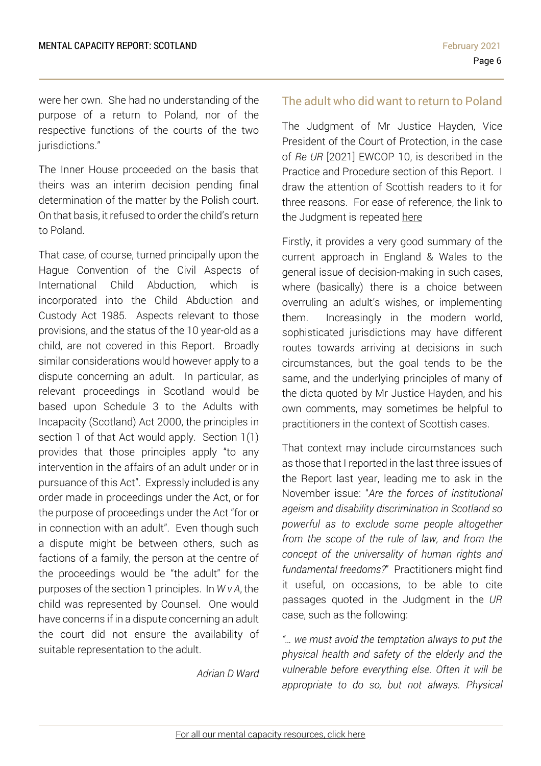were her own. She had no understanding of the purpose of a return to Poland, nor of the respective functions of the courts of the two iurisdictions."

The Inner House proceeded on the basis that theirs was an interim decision pending final determination of the matter by the Polish court. On that basis, it refused to order the child's return to Poland.

That case, of course, turned principally upon the Hague Convention of the Civil Aspects of International Child Abduction, which is incorporated into the Child Abduction and Custody Act 1985. Aspects relevant to those provisions, and the status of the 10 year-old as a child, are not covered in this Report. Broadly similar considerations would however apply to a dispute concerning an adult. In particular, as relevant proceedings in Scotland would be based upon Schedule 3 to the Adults with Incapacity (Scotland) Act 2000, the principles in section 1 of that Act would apply. Section 1(1) provides that those principles apply "to any intervention in the affairs of an adult under or in pursuance of this Act". Expressly included is any order made in proceedings under the Act, or for the purpose of proceedings under the Act "for or in connection with an adult". Even though such a dispute might be between others, such as factions of a family, the person at the centre of the proceedings would be "the adult" for the purposes of the section 1 principles. In *W v A*, the child was represented by Counsel. One would have concerns if in a dispute concerning an adult the court did not ensure the availability of suitable representation to the adult.

*Adrian D Ward*

## <span id="page-5-0"></span>The adult who did want to return to Poland

The Judgment of Mr Justice Hayden, Vice President of the Court of Protection, in the case of *Re UR* [2021] EWCOP 10, is described in the Practice and Procedure section of this Report. I draw the attention of Scottish readers to it for three reasons. For ease of reference, the link to the Judgment is repeated [here](https://www.bailii.org/ew/cases/EWCOP/2021/10.html)

Firstly, it provides a very good summary of the current approach in England & Wales to the general issue of decision-making in such cases, where (basically) there is a choice between overruling an adult's wishes, or implementing them. Increasingly in the modern world, sophisticated jurisdictions may have different routes towards arriving at decisions in such circumstances, but the goal tends to be the same, and the underlying principles of many of the dicta quoted by Mr Justice Hayden, and his own comments, may sometimes be helpful to practitioners in the context of Scottish cases.

That context may include circumstances such as those that I reported in the last three issues of the Report last year, leading me to ask in the November issue: "*Are the forces of institutional ageism and disability discrimination in Scotland so powerful as to exclude some people altogether from the scope of the rule of law, and from the concept of the universality of human rights and fundamental freedoms?*" Practitioners might find it useful, on occasions, to be able to cite passages quoted in the Judgment in the *UR* case, such as the following:

*"… we must avoid the temptation always to put the physical health and safety of the elderly and the vulnerable before everything else. Often it will be appropriate to do so, but not always. Physical*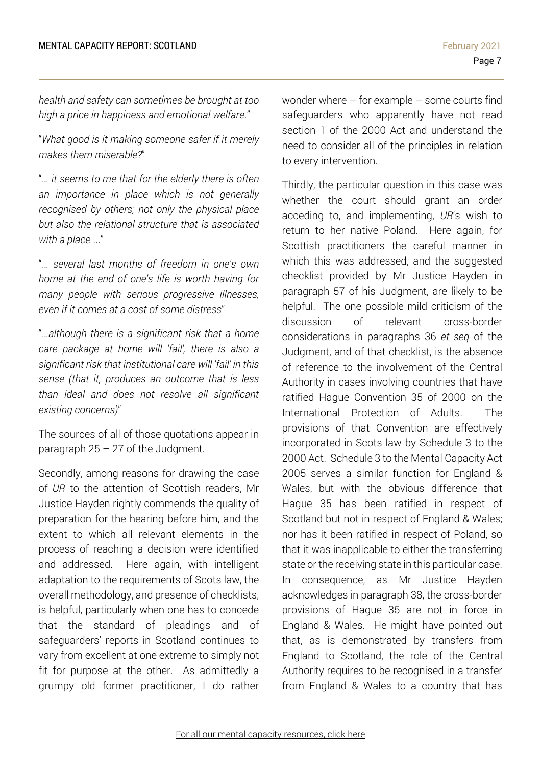*health and safety can sometimes be brought at too high a price in happiness and emotional welfare*."

"*What good is it making someone safer if it merely makes them miserable?*"

"… *it seems to me that for the elderly there is often an importance in place which is not generally recognised by others; not only the physical place but also the relational structure that is associated with a place* ..."

"… *several last months of freedom in one's own home at the end of one's life is worth having for many people with serious progressive illnesses, even if it comes at a cost of some distress*"

"…*although there is a significant risk that a home care package at home will 'fail', there is also a significant risk that institutional care will 'fail' in this sense (that it, produces an outcome that is less than ideal and does not resolve all significant existing concerns)*"

The sources of all of those quotations appear in paragraph  $25 - 27$  of the Judgment.

Secondly, among reasons for drawing the case of *UR* to the attention of Scottish readers, Mr Justice Hayden rightly commends the quality of preparation for the hearing before him, and the extent to which all relevant elements in the process of reaching a decision were identified and addressed. Here again, with intelligent adaptation to the requirements of Scots law, the overall methodology, and presence of checklists, is helpful, particularly when one has to concede that the standard of pleadings and of safeguarders' reports in Scotland continues to vary from excellent at one extreme to simply not fit for purpose at the other. As admittedly a grumpy old former practitioner, I do rather

wonder where – for example – some courts find safeguarders who apparently have not read section 1 of the 2000 Act and understand the need to consider all of the principles in relation to every intervention.

Thirdly, the particular question in this case was whether the court should grant an order acceding to, and implementing, *UR*'s wish to return to her native Poland. Here again, for Scottish practitioners the careful manner in which this was addressed, and the suggested checklist provided by Mr Justice Hayden in paragraph 57 of his Judgment, are likely to be helpful. The one possible mild criticism of the discussion of relevant cross-border considerations in paragraphs 36 *et seq* of the Judgment, and of that checklist, is the absence of reference to the involvement of the Central Authority in cases involving countries that have ratified Hague Convention 35 of 2000 on the International Protection of Adults. The provisions of that Convention are effectively incorporated in Scots law by Schedule 3 to the 2000 Act. Schedule 3 to the Mental Capacity Act 2005 serves a similar function for England & Wales, but with the obvious difference that Hague 35 has been ratified in respect of Scotland but not in respect of England & Wales; nor has it been ratified in respect of Poland, so that it was inapplicable to either the transferring state or the receiving state in this particular case. In consequence, as Mr Justice Hayden acknowledges in paragraph 38, the cross-border provisions of Hague 35 are not in force in England & Wales. He might have pointed out that, as is demonstrated by transfers from England to Scotland, the role of the Central Authority requires to be recognised in a transfer from England & Wales to a country that has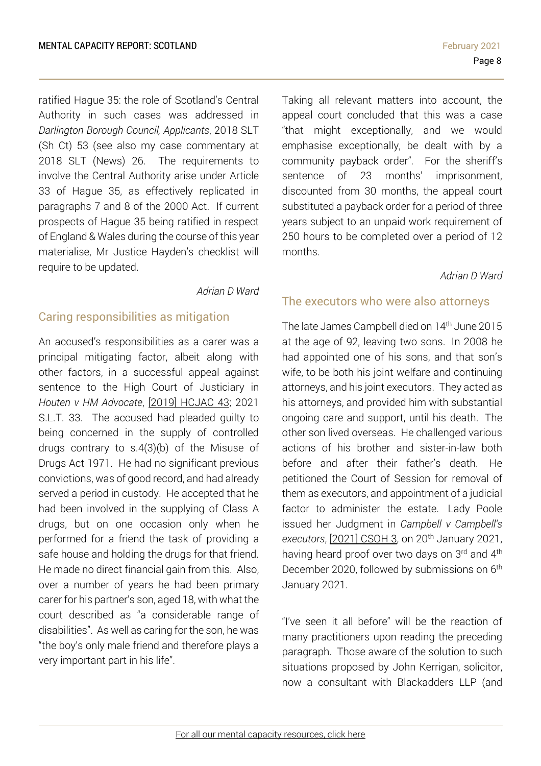ratified Hague 35: the role of Scotland's Central Authority in such cases was addressed in *Darlington Borough Council, Applicants*, 2018 SLT (Sh Ct) 53 (see also my case commentary at 2018 SLT (News) 26. The requirements to involve the Central Authority arise under Article 33 of Hague 35, as effectively replicated in paragraphs 7 and 8 of the 2000 Act. If current prospects of Hague 35 being ratified in respect of England & Wales during the course of this year materialise, Mr Justice Hayden's checklist will require to be updated.

*Adrian D Ward*

## <span id="page-7-0"></span>Caring responsibilities as mitigation

An accused's responsibilities as a carer was a principal mitigating factor, albeit along with other factors, in a successful appeal against sentence to the High Court of Justiciary in *Houten v HM Advocate*, [2019] [HCJAC](https://www.scotcourts.gov.uk/docs/default-source/cos-general-docs/pdf-docs-for-opinions/2019hcjac43.pdf?sfvrsn=0) 43; 2021 S.L.T. 33. The accused had pleaded guilty to being concerned in the supply of controlled drugs contrary to s.4(3)(b) of the Misuse of Drugs Act 1971. He had no significant previous convictions, was of good record, and had already served a period in custody. He accepted that he had been involved in the supplying of Class A drugs, but on one occasion only when he performed for a friend the task of providing a safe house and holding the drugs for that friend. He made no direct financial gain from this. Also, over a number of years he had been primary carer for his partner's son, aged 18, with what the court described as "a considerable range of disabilities". As well as caring for the son, he was "the boy's only male friend and therefore plays a very important part in his life".

Taking all relevant matters into account, the appeal court concluded that this was a case "that might exceptionally, and we would emphasise exceptionally, be dealt with by a community payback order". For the sheriff's sentence of 23 months' imprisonment. discounted from 30 months, the appeal court substituted a payback order for a period of three years subject to an unpaid work requirement of 250 hours to be completed over a period of 12 months.

### *Adrian D Ward*

## <span id="page-7-1"></span>The executors who were also attorneys

The late James Campbell died on 14<sup>th</sup> June 2015 at the age of 92, leaving two sons. In 2008 he had appointed one of his sons, and that son's wife, to be both his joint welfare and continuing attorneys, and his joint executors. They acted as his attorneys, and provided him with substantial ongoing care and support, until his death. The other son lived overseas. He challenged various actions of his brother and sister-in-law both before and after their father's death. He petitioned the Court of Session for removal of them as executors, and appointment of a judicial factor to administer the estate. Lady Poole issued her Judgment in *Campbell v Campbell's executors*, [\[2021\]](https://www.scotcourts.gov.uk/docs/default-source/default-document-library/2021csoh03.pdf?sfvrsn=0) CSOH 3, on 20th January 2021, having heard proof over two days on 3<sup>rd</sup> and 4<sup>th</sup> December 2020, followed by submissions on 6<sup>th</sup> January 2021.

"I've seen it all before" will be the reaction of many practitioners upon reading the preceding paragraph. Those aware of the solution to such situations proposed by John Kerrigan, solicitor, now a consultant with Blackadders LLP (and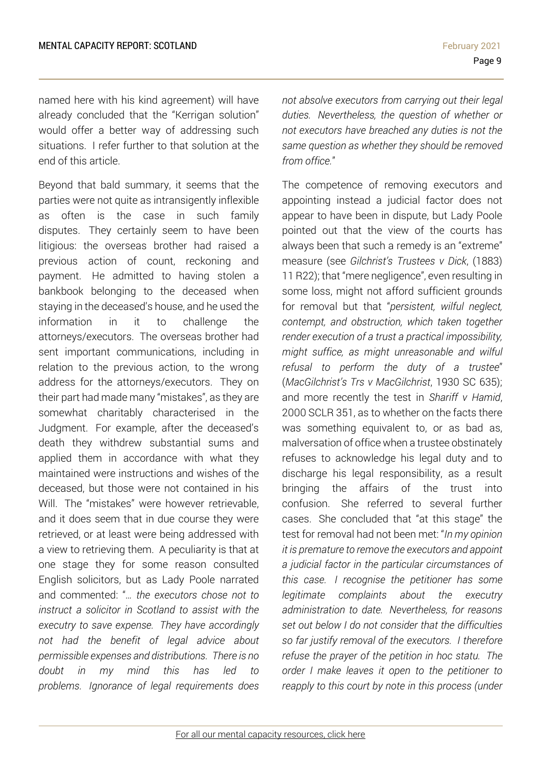named here with his kind agreement) will have already concluded that the "Kerrigan solution" would offer a better way of addressing such situations. I refer further to that solution at the end of this article.

Beyond that bald summary, it seems that the parties were not quite as intransigently inflexible as often is the case in such family disputes. They certainly seem to have been litigious: the overseas brother had raised a previous action of count, reckoning and payment. He admitted to having stolen a bankbook belonging to the deceased when staying in the deceased's house, and he used the information in it to challenge the attorneys/executors. The overseas brother had sent important communications, including in relation to the previous action, to the wrong address for the attorneys/executors. They on their part had made many "mistakes", as they are somewhat charitably characterised in the Judgment. For example, after the deceased's death they withdrew substantial sums and applied them in accordance with what they maintained were instructions and wishes of the deceased, but those were not contained in his Will. The "mistakes" were however retrievable, and it does seem that in due course they were retrieved, or at least were being addressed with a view to retrieving them. A peculiarity is that at one stage they for some reason consulted English solicitors, but as Lady Poole narrated and commented: "*… the executors chose not to instruct a solicitor in Scotland to assist with the executry to save expense. They have accordingly not had the benefit of legal advice about permissible expenses and distributions. There is no doubt in my mind this has led to problems. Ignorance of legal requirements does*

*not absolve executors from carrying out their legal duties. Nevertheless, the question of whether or not executors have breached any duties is not the same question as whether they should be removed from office.*"

The competence of removing executors and appointing instead a judicial factor does not appear to have been in dispute, but Lady Poole pointed out that the view of the courts has always been that such a remedy is an "extreme" measure (see *Gilchrist's Trustees v Dick*, (1883) 11 R22); that "mere negligence", even resulting in some loss, might not afford sufficient grounds for removal but that "*persistent, wilful neglect, contempt, and obstruction, which taken together render execution of a trust a practical impossibility, might suffice, as might unreasonable and wilful refusal to perform the duty of a trustee*" (*MacGilchrist's Trs v MacGilchrist*, 1930 SC 635); and more recently the test in *Shariff v Hamid*, 2000 SCLR 351, as to whether on the facts there was something equivalent to, or as bad as, malversation of office when a trustee obstinately refuses to acknowledge his legal duty and to discharge his legal responsibility, as a result bringing the affairs of the trust into confusion. She referred to several further cases. She concluded that "at this stage" the test for removal had not been met: "*In my opinion it is premature to remove the executors and appoint a judicial factor in the particular circumstances of this case. I recognise the petitioner has some legitimate complaints about the executry administration to date. Nevertheless, for reasons set out below I do not consider that the difficulties so far justify removal of the executors. I therefore refuse the prayer of the petition in hoc statu. The order I make leaves it open to the petitioner to reapply to this court by note in this process (under*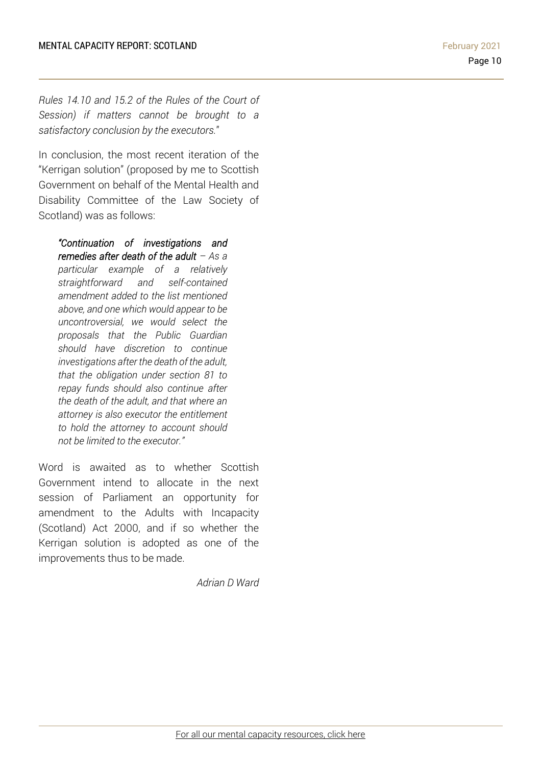*Rules 14.10 and 15.2 of the Rules of the Court of Session) if matters cannot be brought to a satisfactory conclusion by the executors.*"

In conclusion, the most recent iteration of the "Kerrigan solution" (proposed by me to Scottish Government on behalf of the Mental Health and Disability Committee of the Law Society of Scotland) was as follows:

*"Continuation of investigations and remedies after death of the adult – As a particular example of a relatively straightforward and self-contained amendment added to the list mentioned above, and one which would appear to be uncontroversial, we would select the proposals that the Public Guardian should have discretion to continue investigations after the death of the adult, that the obligation under section 81 to repay funds should also continue after the death of the adult, and that where an attorney is also executor the entitlement to hold the attorney to account should not be limited to the executor."*

Word is awaited as to whether Scottish Government intend to allocate in the next session of Parliament an opportunity for amendment to the Adults with Incapacity (Scotland) Act 2000, and if so whether the Kerrigan solution is adopted as one of the improvements thus to be made.

*Adrian D Ward*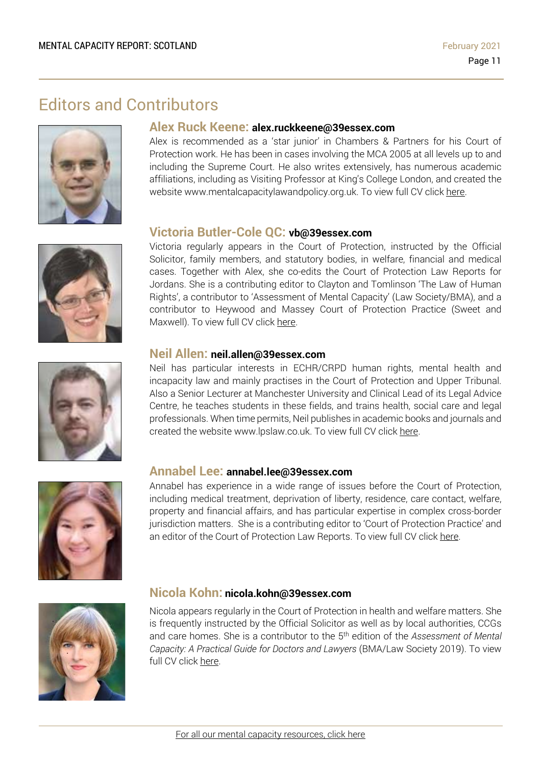# Editors and Contributors







# **Alex Ruck Keene: alex.ruckkeene@39essex.com**

Alex is recommended as a 'star junior' in Chambers & Partners for his Court of Protection work. He has been in cases involving the MCA 2005 at all levels up to and including the Supreme Court. He also writes extensively, has numerous academic affiliations, including as Visiting Professor at King's College London, and created the website www.mentalcapacitylawandpolicy.org.uk. To view full CV click [here.](http://www.39essex.com/barrister/alexander-ruck-keene/)

### **Victoria Butler-Cole QC: vb@39essex.com**

Victoria regularly appears in the Court of Protection, instructed by the Official Solicitor, family members, and statutory bodies, in welfare, financial and medical cases. Together with Alex, she co-edits the Court of Protection Law Reports for Jordans. She is a contributing editor to Clayton and Tomlinson 'The Law of Human Rights', a contributor to 'Assessment of Mental Capacity' (Law Society/BMA), and a contributor to Heywood and Massey Court of Protection Practice (Sweet and Maxwell). To view full CV click [here.](http://www.39essex.com/barrister/victoria-butler-cole/)

## **Neil Allen: neil.allen@39essex.com**

Neil has particular interests in ECHR/CRPD human rights, mental health and incapacity law and mainly practises in the Court of Protection and Upper Tribunal. Also a Senior Lecturer at Manchester University and Clinical Lead of its Legal Advice Centre, he teaches students in these fields, and trains health, social care and legal professionals. When time permits, Neil publishes in academic books and journals and created the website www.lpslaw.co.uk. To view full CV click [here.](http://www.39essex.com/barrister/neil-allen/)



#### **Annabel Lee: annabel.lee@39essex.com**

Annabel has experience in a wide range of issues before the Court of Protection, including medical treatment, deprivation of liberty, residence, care contact, welfare, property and financial affairs, and has particular expertise in complex cross-border jurisdiction matters. She is a contributing editor to 'Court of Protection Practice' and an editor of the Court of Protection Law Reports. To view full CV click [here.](http://www.39essex.com/barrister/annabel-lee/)



#### **Nicola Kohn: nicola.kohn@39essex.com**

Nicola appears regularly in the Court of Protection in health and welfare matters. She is frequently instructed by the Official Solicitor as well as by local authorities, CCGs and care homes. She is a contributor to the 5 th edition of the *Assessment of Mental Capacity: A Practical Guide for Doctors and Lawyers* (BMA/Law Society 2019). To view full CV click [here.](http://www.39essex.com/barrister/nicola-kohn/)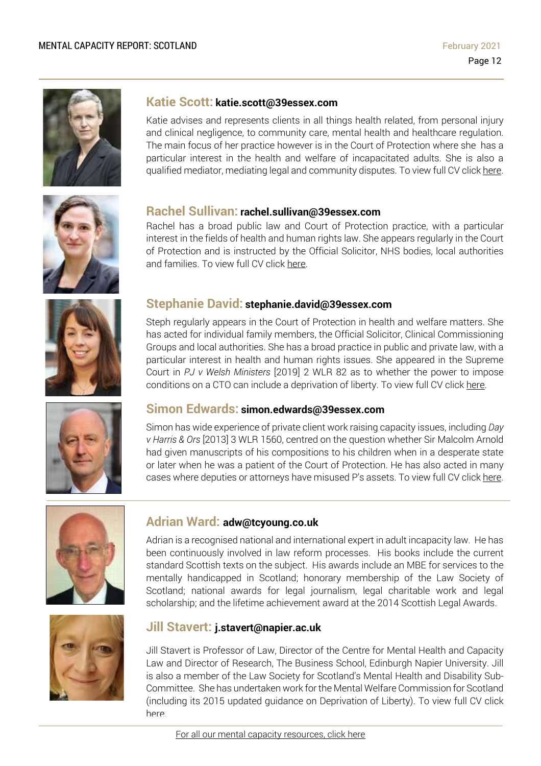

### **Katie Scott: katie.scott@39essex.com**

Katie advises and represents clients in all things health related, from personal injury and clinical negligence, to community care, mental health and healthcare regulation. The main focus of her practice however is in the Court of Protection where she has a particular interest in the health and welfare of incapacitated adults. She is also a qualified mediator, mediating legal and community disputes. To view full CV click [here.](http://www.39essex.com/barrister/katharine-scott/)



### **Rachel Sullivan: rachel.sullivan@39essex.com**

Rachel has a broad public law and Court of Protection practice, with a particular interest in the fields of health and human rights law. She appears regularly in the Court of Protection and is instructed by the Official Solicitor, NHS bodies, local authorities and families. To view full CV click [here.](https://www.39essex.com/barrister/rachel-sullivan/)



## **Stephanie David: stephanie.david@39essex.com**

Steph regularly appears in the Court of Protection in health and welfare matters. She has acted for individual family members, the Official Solicitor, Clinical Commissioning Groups and local authorities. She has a broad practice in public and private law, with a particular interest in health and human rights issues. She appeared in the Supreme Court in *PJ v Welsh Ministers* [2019] 2 WLR 82 as to whether the power to impose conditions on a CTO can include a deprivation of liberty. To view full CV click [here.](http://www.39essex.com/barrister/simon-edwards/)



#### **Simon Edwards: simon.edwards@39essex.com**

Simon has wide experience of private client work raising capacity issues, including *Day v Harris & Ors* [2013] 3 WLR 1560, centred on the question whether Sir Malcolm Arnold had given manuscripts of his compositions to his children when in a desperate state or later when he was a patient of the Court of Protection. He has also acted in many cases where deputies or attorneys have misused P's assets. To view full CV click [here.](http://www.39essex.com/barrister/simon-edwards/)



## **Adrian Ward: adw@tcyoung.co.uk**

Adrian is a recognised national and international expert in adult incapacity law. He has been continuously involved in law reform processes. His books include the current standard Scottish texts on the subject. His awards include an MBE for services to the mentally handicapped in Scotland; honorary membership of the Law Society of Scotland; national awards for legal journalism, legal charitable work and legal scholarship; and the lifetime achievement award at the 2014 Scottish Legal Awards.



#### **Jill Stavert: j.stavert@napier.ac.uk**

Jill Stavert is Professor of Law, Director of the Centre for Mental Health and Capacity Law and Director of Research, The Business School, Edinburgh Napier University. Jill is also a member of the Law Society for Scotland's Mental Health and Disability Sub-Committee. She has undertaken work for the Mental Welfare Commission for Scotland (including its 2015 updated guidance on Deprivation of Liberty). To view full CV click [here.](http://www.napier.ac.uk/people/jill-stavert)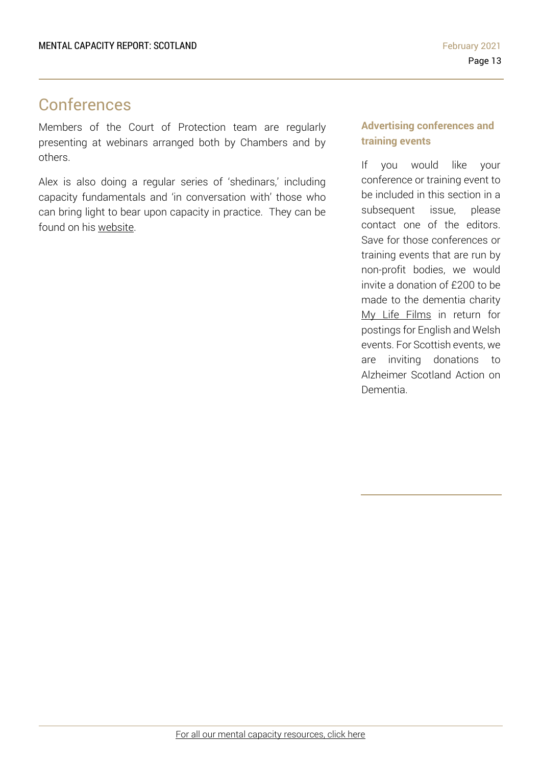# Conferences

Members of the Court of Protection team are regularly presenting at webinars arranged both by Chambers and by others.

Alex is also doing a regular series of 'shedinars,' including capacity fundamentals and 'in conversation with' those who can bring light to bear upon capacity in practice. They can be found on his [website.](https://www.mentalcapacitylawandpolicy.org.uk/)

## **Advertising conferences and training events**

If you would like your conference or training event to be included in this section in a subsequent issue, please contact one of the editors. Save for those conferences or training events that are run by non-profit bodies, we would invite a donation of £200 to be made to the dementia charity My Life Films in return for postings for English and Welsh events. For Scottish events, we are inviting donations to Alzheimer Scotland Action on Dementia.